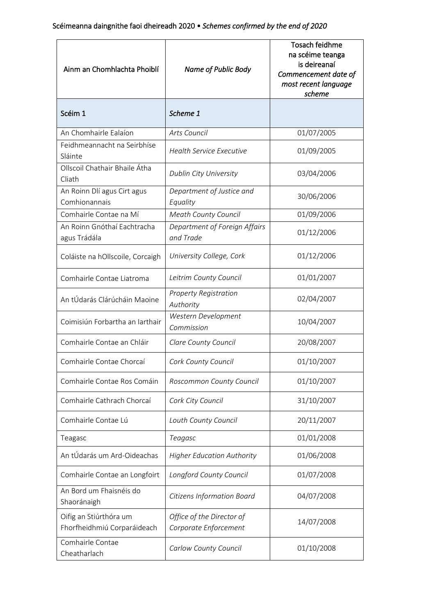| Ainm an Chomhlachta Phoiblí                           | Name of Public Body                                | <b>Tosach feidhme</b><br>na scéime teanga<br>is deireanaí<br>Commencement date of<br>most recent language<br>scheme |
|-------------------------------------------------------|----------------------------------------------------|---------------------------------------------------------------------------------------------------------------------|
| Scéim 1                                               | Scheme 1                                           |                                                                                                                     |
| An Chomhairle Ealaíon                                 | Arts Council                                       | 01/07/2005                                                                                                          |
| Feidhmeannacht na Seirbhíse<br>Sláinte                | <b>Health Service Executive</b>                    | 01/09/2005                                                                                                          |
| Ollscoil Chathair Bhaile Átha<br>Cliath               | Dublin City University                             | 03/04/2006                                                                                                          |
| An Roinn Dlí agus Cirt agus<br>Comhionannais          | Department of Justice and<br>Equality              | 30/06/2006                                                                                                          |
| Comhairle Contae na Mí                                | <b>Meath County Council</b>                        | 01/09/2006                                                                                                          |
| An Roinn Gnóthaí Eachtracha<br>agus Trádála           | Department of Foreign Affairs<br>and Trade         | 01/12/2006                                                                                                          |
| Coláiste na hOllscoile, Corcaigh                      | University College, Cork                           | 01/12/2006                                                                                                          |
| Comhairle Contae Liatroma                             | Leitrim County Council                             | 01/01/2007                                                                                                          |
| An tÚdarás Clárúcháin Maoine                          | <b>Property Registration</b><br>Authority          | 02/04/2007                                                                                                          |
| Coimisiún Forbartha an Iarthair                       | Western Development<br>Commission                  | 10/04/2007                                                                                                          |
| Comhairle Contae an Chláir                            | Clare County Council                               | 20/08/2007                                                                                                          |
| Comhairle Contae Chorcaí                              | Cork County Council                                | 01/10/2007                                                                                                          |
| Comhairle Contae Ros Comáin                           | Roscommon County Council                           | 01/10/2007                                                                                                          |
| Comhairle Cathrach Chorcaí                            | Cork City Council                                  | 31/10/2007                                                                                                          |
| Comhairle Contae Lú                                   | Louth County Council                               | 20/11/2007                                                                                                          |
| Teagasc                                               | Teagasc                                            | 01/01/2008                                                                                                          |
| An tÚdarás um Ard-Oideachas                           | <b>Higher Education Authority</b>                  | 01/06/2008                                                                                                          |
| Comhairle Contae an Longfoirt                         | Longford County Council                            | 01/07/2008                                                                                                          |
| An Bord um Fhaisnéis do<br>Shaoránaigh                | Citizens Information Board                         | 04/07/2008                                                                                                          |
| Oifig an Stiúrthóra um<br>Fhorfheidhmiú Corparáideach | Office of the Director of<br>Corporate Enforcement | 14/07/2008                                                                                                          |
| Comhairle Contae<br>Cheatharlach                      | Carlow County Council                              | 01/10/2008                                                                                                          |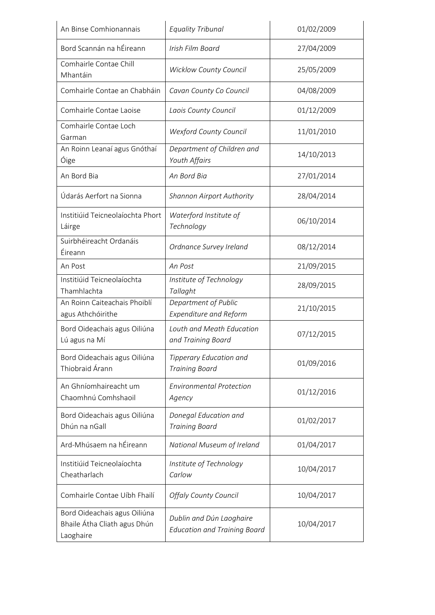| An Binse Comhionannais                                                    | <b>Equality Tribunal</b>                                        | 01/02/2009 |
|---------------------------------------------------------------------------|-----------------------------------------------------------------|------------|
| Bord Scannán na hÉireann                                                  | Irish Film Board                                                | 27/04/2009 |
| Comhairle Contae Chill<br>Mhantáin                                        | <b>Wicklow County Council</b>                                   | 25/05/2009 |
| Comhairle Contae an Chabháin                                              | Cavan County Co Council                                         | 04/08/2009 |
| Comhairle Contae Laoise                                                   | Laois County Council                                            | 01/12/2009 |
| Comhairle Contae Loch<br>Garman                                           | <b>Wexford County Council</b>                                   | 11/01/2010 |
| An Roinn Leanaí agus Gnóthaí<br>Óige                                      | Department of Children and<br>Youth Affairs                     | 14/10/2013 |
| An Bord Bia                                                               | An Bord Bia                                                     | 27/01/2014 |
| Údarás Aerfort na Sionna                                                  | <b>Shannon Airport Authority</b>                                | 28/04/2014 |
| Institiúid Teicneolaíochta Phort<br>Láirge                                | Waterford Institute of<br>Technology                            | 06/10/2014 |
| Suirbhéireacht Ordanáis<br>Éireann                                        | Ordnance Survey Ireland                                         | 08/12/2014 |
| An Post                                                                   | An Post                                                         | 21/09/2015 |
| Institiúid Teicneolaíochta<br>Thamhlachta                                 | Institute of Technology<br>Tallaght                             | 28/09/2015 |
| An Roinn Caiteachais Phoiblí<br>agus Athchóirithe                         | Department of Public<br><b>Expenditure and Reform</b>           | 21/10/2015 |
| Bord Oideachais agus Oiliúna<br>Lú agus na Mí                             | Louth and Meath Education<br>and Training Board                 | 07/12/2015 |
| Bord Oideachais agus Oiliúna<br>Thiobraid Árann                           | Tipperary Education and<br><b>Training Board</b>                | 01/09/2016 |
| An Ghníomhaireacht um<br>Chaomhnú Comhshaoil                              | <b>Environmental Protection</b><br>Agency                       | 01/12/2016 |
| Bord Oideachais agus Oiliúna<br>Dhún na nGall                             | Donegal Education and<br><b>Training Board</b>                  | 01/02/2017 |
| Ard-Mhúsaem na hÉireann                                                   | National Museum of Ireland                                      | 01/04/2017 |
| Institiúid Teicneolaíochta<br>Cheatharlach                                | Institute of Technology<br>Carlow                               | 10/04/2017 |
| Comhairle Contae Uíbh Fhailí                                              | <b>Offaly County Council</b>                                    | 10/04/2017 |
| Bord Oideachais agus Oiliúna<br>Bhaile Átha Cliath agus Dhún<br>Laoghaire | Dublin and Dún Laoghaire<br><b>Education and Training Board</b> | 10/04/2017 |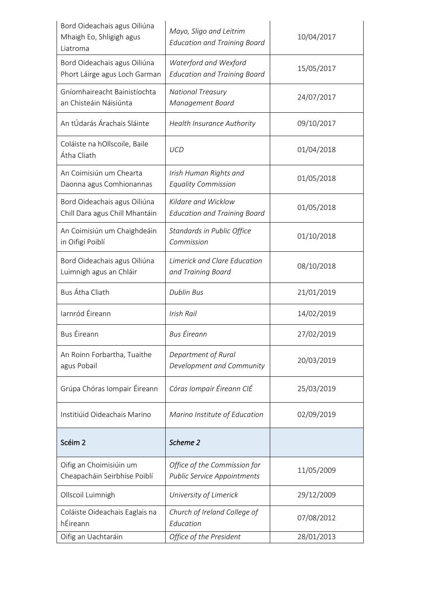| Bord Oideachais agus Oiliúna<br>Mhaigh Eo, Shligigh agus<br>Liatroma | Mayo, Sligo and Leitrim<br><b>Education and Training Board</b>     | 10/04/2017 |
|----------------------------------------------------------------------|--------------------------------------------------------------------|------------|
| Bord Oideachais agus Oiliúna<br>Phort Láirge agus Loch Garman        | Waterford and Wexford<br><b>Education and Training Board</b>       | 15/05/2017 |
| Gníomhaireacht Bainistíochta<br>an Chisteáin Náisiúnta               | <b>National Treasury</b><br>Management Board                       | 24/07/2017 |
| An tÚdarás Árachais Sláinte                                          | <b>Health Insurance Authority</b>                                  | 09/10/2017 |
| Coláiste na hOllscoile, Baile<br>Átha Cliath                         | <b>UCD</b>                                                         | 01/04/2018 |
| An Coimisiún um Chearta<br>Daonna agus Comhionannas                  | Irish Human Rights and<br><b>Equality Commission</b>               | 01/05/2018 |
| Bord Oideachais agus Oiliúna<br>Chill Dara agus Chill Mhantáin       | Kildare and Wicklow<br><b>Education and Training Board</b>         | 01/05/2018 |
| An Coimisiún um Chaighdeáin<br>in Oifigí Poiblí                      | Standards in Public Office<br>Commission                           | 01/10/2018 |
| Bord Oideachais agus Oiliúna<br>Luimnigh agus an Chláir              | Limerick and Clare Education<br>and Training Board                 | 08/10/2018 |
| Bus Átha Cliath                                                      | <b>Dublin Bus</b>                                                  | 21/01/2019 |
| Iarnród Éireann                                                      | Irish Rail                                                         | 14/02/2019 |
| <b>Bus Éireann</b>                                                   | <b>Bus Éireann</b>                                                 | 27/02/2019 |
| An Roinn Forbartha, Tuaithe<br>agus Pobail                           | Department of Rural<br>Development and Community                   | 20/03/2019 |
| Grúpa Chóras Iompair Éireann                                         | Córas Iompair Éireann CIÉ                                          | 25/03/2019 |
| Institiúid Oideachais Marino                                         | Marino Institute of Education                                      | 02/09/2019 |
| Scéim <sub>2</sub>                                                   | Scheme 2                                                           |            |
| Oifig an Choimisiúin um<br>Cheapacháin Seirbhíse Poiblí              | Office of the Commission for<br><b>Public Service Appointments</b> | 11/05/2009 |
| Ollscoil Luimnigh                                                    | University of Limerick                                             | 29/12/2009 |
| Coláiste Oideachais Eaglais na<br>hÉireann                           | Church of Ireland College of<br>Education                          | 07/08/2012 |
| Oifig an Uachtaráin                                                  | Office of the President                                            | 28/01/2013 |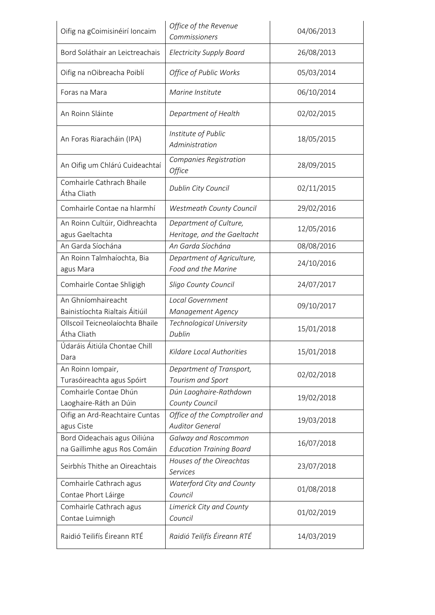| Oifig na gCoimisinéirí Ioncaim                   | Office of the Revenue<br>Commissioners                | 04/06/2013 |
|--------------------------------------------------|-------------------------------------------------------|------------|
| Bord Soláthair an Leictreachais                  | <b>Electricity Supply Board</b>                       | 26/08/2013 |
| Oifig na nOibreacha Poiblí                       | Office of Public Works                                | 05/03/2014 |
| Foras na Mara                                    | Marine Institute                                      | 06/10/2014 |
| An Roinn Sláinte                                 | Department of Health                                  | 02/02/2015 |
| An Foras Riaracháin (IPA)                        | Institute of Public<br>Administration                 | 18/05/2015 |
| An Oifig um Chlárú Cuideachtaí                   | Companies Registration<br><i><b>Office</b></i>        | 28/09/2015 |
| Comhairle Cathrach Bhaile<br>Átha Cliath         | Dublin City Council                                   | 02/11/2015 |
| Comhairle Contae na hIarmhí                      | Westmeath County Council                              | 29/02/2016 |
| An Roinn Cultúir, Oidhreachta<br>agus Gaeltachta | Department of Culture,<br>Heritage, and the Gaeltacht | 12/05/2016 |
| An Garda Síochána                                | An Garda Síochána                                     | 08/08/2016 |
| An Roinn Talmhaíochta, Bia                       | Department of Agriculture,                            |            |
| agus Mara                                        | Food and the Marine                                   | 24/10/2016 |
| Comhairle Contae Shligigh                        | Sligo County Council                                  | 24/07/2017 |
| An Ghníomhaireacht                               | <b>Local Government</b>                               |            |
| Bainistíochta Rialtais Áitiúil                   | Management Agency                                     | 09/10/2017 |
| Ollscoil Teicneolaíochta Bhaile                  | Technological University                              |            |
| Átha Cliath                                      | Dublin                                                | 15/01/2018 |
| Údaráis Áitiúla Chontae Chill<br>Dara            | Kildare Local Authorities                             | 15/01/2018 |
| An Roinn Iompair,<br>Turasóireachta agus Spóirt  | Department of Transport,<br>Tourism and Sport         | 02/02/2018 |
| Comhairle Contae Dhún                            | Dún Laoghaire-Rathdown                                |            |
| Laoghaire-Ráth an Dúin                           | County Council                                        | 19/02/2018 |
| Oifig an Ard-Reachtaire Cuntas                   | Office of the Comptroller and                         |            |
| agus Ciste                                       | <b>Auditor General</b>                                | 19/03/2018 |
| Bord Oideachais agus Oiliúna                     | Galway and Roscommon                                  |            |
| na Gaillimhe agus Ros Comáin                     | <b>Education Training Board</b>                       | 16/07/2018 |
| Seirbhís Thithe an Oireachtais                   | Houses of the Oireachtas<br><b>Services</b>           | 23/07/2018 |
| Comhairle Cathrach agus                          | Waterford City and County                             |            |
| Contae Phort Láirge                              | Council                                               | 01/08/2018 |
| Comhairle Cathrach agus<br>Contae Luimnigh       | Limerick City and County<br>Council                   | 01/02/2019 |
| Raidió Teilifís Éireann RTÉ                      | Raidió Teilifís Éireann RTÉ                           | 14/03/2019 |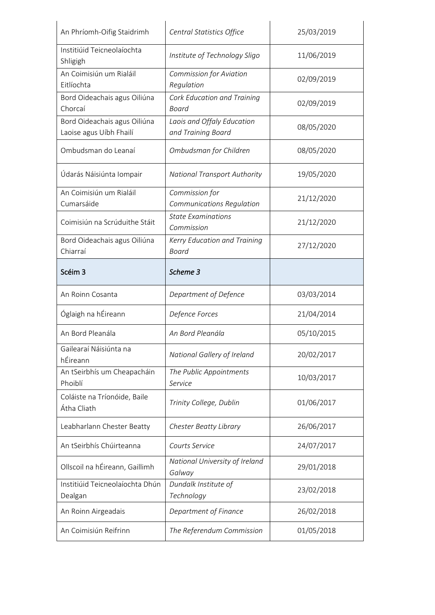| An Phríomh-Oifig Staidrimh                                                                                                                                                                    | Central Statistics Office                        | 25/03/2019 |
|-----------------------------------------------------------------------------------------------------------------------------------------------------------------------------------------------|--------------------------------------------------|------------|
| Institiúid Teicneolaíochta<br>Shligigh                                                                                                                                                        | Institute of Technology Sligo                    | 11/06/2019 |
| An Coimisiún um Rialáil<br>Eitlíochta                                                                                                                                                         | <b>Commission for Aviation</b><br>Regulation     | 02/09/2019 |
| Bord Oideachais agus Oiliúna<br>Chorcaí                                                                                                                                                       | <b>Cork Education and Training</b><br>Board      | 02/09/2019 |
| Bord Oideachais agus Oiliúna<br>Laoise agus Uíbh Fhailí                                                                                                                                       | Laois and Offaly Education<br>and Training Board | 08/05/2020 |
| Ombudsman do Leanaí                                                                                                                                                                           | Ombudsman for Children                           | 08/05/2020 |
| Údarás Náisiúnta Iompair                                                                                                                                                                      | <b>National Transport Authority</b>              | 19/05/2020 |
| An Coimisiún um Rialáil<br>Cumarsáide                                                                                                                                                         | Commission for<br>Communications Regulation      | 21/12/2020 |
| Coimisiún na Scrúduithe Stáit                                                                                                                                                                 | <b>State Examinations</b><br>Commission          | 21/12/2020 |
| Bord Oideachais agus Oiliúna<br>Chiarraí                                                                                                                                                      | Kerry Education and Training<br><b>Board</b>     | 27/12/2020 |
| Scéim 3                                                                                                                                                                                       | Scheme 3                                         |            |
| An Roinn Cosanta                                                                                                                                                                              | Department of Defence                            | 03/03/2014 |
| Óglaigh na hÉireann                                                                                                                                                                           | Defence Forces                                   | 21/04/2014 |
| An Bord Pleanála                                                                                                                                                                              | An Bord Pleanála                                 | 05/10/2015 |
| Gailearaí Náisiúnta na<br>hÉireann                                                                                                                                                            | National Gallery of Ireland                      | 20/02/2017 |
|                                                                                                                                                                                               |                                                  |            |
| Phoiblí                                                                                                                                                                                       | The Public Appointments<br>Service               | 10/03/2017 |
|                                                                                                                                                                                               | Trinity College, Dublin                          | 01/06/2017 |
|                                                                                                                                                                                               | Chester Beatty Library                           | 26/06/2017 |
|                                                                                                                                                                                               | Courts Service                                   | 24/07/2017 |
|                                                                                                                                                                                               | National University of Ireland<br>Galway         | 29/01/2018 |
| Institiúid Teicneolaíochta Dhún<br>Dealgan                                                                                                                                                    | Dundalk Institute of<br>Technology               | 23/02/2018 |
| An tSeirbhís um Cheapacháin<br>Coláiste na Tríonóide, Baile<br>Átha Cliath<br>Leabharlann Chester Beatty<br>An tSeirbhís Chúirteanna<br>Ollscoil na hÉireann, Gaillimh<br>An Roinn Airgeadais | Department of Finance                            | 26/02/2018 |
| An Coimisiún Reifrinn                                                                                                                                                                         | The Referendum Commission                        | 01/05/2018 |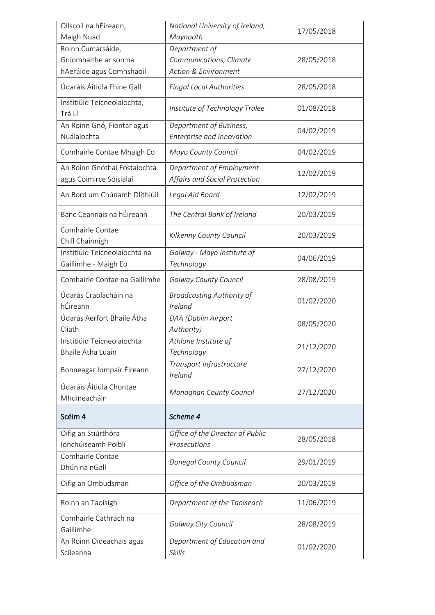| Ollscoil na hÉireann,<br>Maigh Nuad     | National University of Ireland,<br>Maynooth | 17/05/2018 |
|-----------------------------------------|---------------------------------------------|------------|
| Roinn Cumarsáide,                       | Department of                               |            |
| Gníomhaithe ar son na                   | Communications, Climate                     | 28/05/2018 |
| hAeráide agus Comhshaoil                | <b>Action &amp; Environment</b>             |            |
| Údaráis Áitiúla Fhine Gall              | Fingal Local Authorities                    | 28/05/2018 |
| Institiúid Teicneolaíochta,<br>Trá Lí   | Institute of Technology Tralee              | 01/08/2018 |
| An Roinn Gnó, Fiontar agus              | Department of Business,                     |            |
| Nuálaíochta                             | Enterprise and Innovation                   | 04/02/2019 |
| Comhairle Contae Mhaigh Eo              | Mayo County Council                         | 04/02/2019 |
| An Roinn Gnóthaí Fostaíochta            | Department of Employment                    | 12/02/2019 |
| agus Coimirce Sóisialaí                 | Affairs and Social Protection               |            |
| An Bord um Chúnamh Dlíthiúil            | Legal Aid Board                             | 12/02/2019 |
| Banc Ceannais na hÉireann               | The Central Bank of Ireland                 | 20/03/2019 |
| Comhairle Contae<br>Chill Chainnigh     | Kilkenny County Council                     | 20/03/2019 |
| Institiúid Teicneolaíochta na           | Galway - Mayo Institute of                  |            |
| Gaillimhe - Maigh Eo                    | Technology                                  | 04/06/2019 |
| Comhairle Contae na Gaillimhe           | <b>Galway County Council</b>                | 28/08/2019 |
| Údarás Craolacháin na                   | <b>Broadcasting Authority of</b>            | 01/02/2020 |
| hÉireann                                | Ireland                                     |            |
|                                         |                                             |            |
| Údarás Aerfort Bhaile Átha              | DAA (Dublin Airport                         |            |
| Cliath                                  | Authority)                                  | 08/05/2020 |
| Institiúid Teicneolaíochta              | Athlone Institute of                        |            |
| Bhaile Átha Luain                       | Technology                                  | 21/12/2020 |
| Bonneagar Iompair Éireann               | Transport Infrastructure<br>Ireland         | 27/12/2020 |
| Údaráis Áitiúla Chontae<br>Mhuineacháin | Monaghan County Council                     | 27/12/2020 |
| Scéim 4                                 | Scheme 4                                    |            |
| Oifig an Stiúrthóra                     | Office of the Director of Public            |            |
| Ionchúiseamh Poiblí                     | Prosecutions                                | 28/05/2018 |
| Comhairle Contae                        |                                             |            |
| Dhún na nGall                           | Donegal County Council                      | 29/01/2019 |
| Oifig an Ombudsman                      | Office of the Ombudsman                     | 20/03/2019 |
| Roinn an Taoisigh                       | Department of the Taoiseach                 | 11/06/2019 |
| Comhairle Cathrach na<br>Gaillimhe      | Galway City Council                         | 28/08/2019 |
| An Roinn Oideachais agus                | Department of Education and                 | 01/02/2020 |